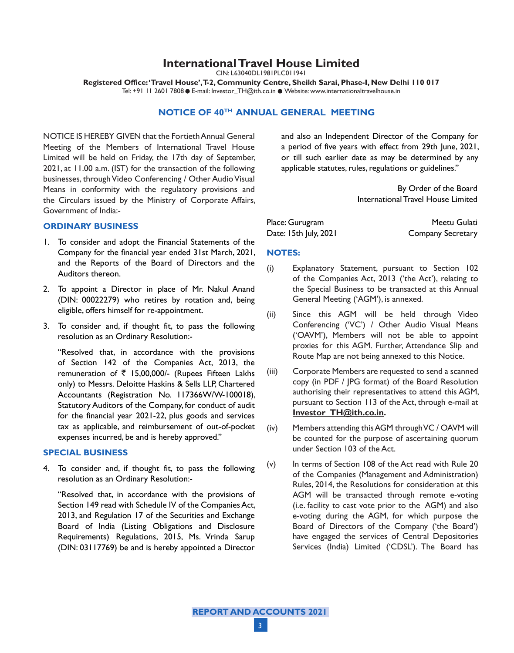# **International Travel House Limited**

CIN: L63040DL1981PLC011941

**Registered Office: 'Travel House', T-2, Community Centre, Sheikh Sarai, Phase-I, New Delhi 110 017** Tel: +91 11 2601 7808 ● E-mail: Investor\_TH@ith.co.in ● Website: www.internationaltravelhouse.in

# **NOTICE OF 40th ANNUAL GENERAL MEETING**

NOTICE IS HEREBY GIVEN that the Fortieth Annual General Meeting of the Members of International Travel House Limited will be held on Friday, the 17th day of September, 2021, at 11.00 a.m. (IST) for the transaction of the following businesses, through Video Conferencing / Other Audio Visual Means in conformity with the regulatory provisions and the Circulars issued by the Ministry of Corporate Affairs, Government of India:-

#### **ORDINARY BUSINESS**

- 1. To consider and adopt the Financial Statements of the Company for the financial year ended 31st March, 2021, and the Reports of the Board of Directors and the Auditors thereon.
- 2. To appoint a Director in place of Mr. Nakul Anand (DIN: 00022279) who retires by rotation and, being eligible, offers himself for re-appointment.
- 3. To consider and, if thought fit, to pass the following resolution as an Ordinary Resolution:-

"Resolved that, in accordance with the provisions of Section 142 of the Companies Act, 2013, the remuneration of  $\bar{\tau}$  15,00,000/- (Rupees Fifteen Lakhs only) to Messrs. Deloitte Haskins & Sells LLP, Chartered Accountants (Registration No. 117366W/W-100018), Statutory Auditors of the Company, for conduct of audit for the financial year 2021-22, plus goods and services tax as applicable, and reimbursement of out-of-pocket expenses incurred, be and is hereby approved."

#### **SPECIAL BUSINESS**

4. To consider and, if thought fit, to pass the following resolution as an Ordinary Resolution:-

"Resolved that, in accordance with the provisions of Section 149 read with Schedule IV of the Companies Act, 2013, and Regulation 17 of the Securities and Exchange Board of India (Listing Obligations and Disclosure Requirements) Regulations, 2015, Ms. Vrinda Sarup (DIN: 03117769) be and is hereby appointed a Director

and also an Independent Director of the Company for a period of five years with effect from 29th June, 2021, or till such earlier date as may be determined by any applicable statutes, rules, regulations or guidelines."

> By Order of the Board International Travel House Limited

| Place: Gurugram       | Meetu Gulati      |
|-----------------------|-------------------|
| Date: 15th July, 2021 | Company Secretary |

#### **NOTES:**

- (i) Explanatory Statement, pursuant to Section 102 of the Companies Act, 2013 ('the Act'), relating to the Special Business to be transacted at this Annual General Meeting ('AGM'), is annexed.
- (ii) Since this AGM will be held through Video Conferencing ('VC') / Other Audio Visual Means ('OAVM'), Members will not be able to appoint proxies for this AGM. Further, Attendance Slip and Route Map are not being annexed to this Notice.
- (iii) Corporate Members are requested to send a scanned copy (in PDF / JPG format) of the Board Resolution authorising their representatives to attend this AGM, pursuant to Section 113 of the Act, through e-mail at **Investor\_TH@ith.co.in.**
- (iv) Members attending this AGM through VC / OAVM will be counted for the purpose of ascertaining quorum under Section 103 of the Act.
- (v) In terms of Section 108 of the Act read with Rule 20 of the Companies (Management and Administration) Rules, 2014, the Resolutions for consideration at this AGM will be transacted through remote e-voting (i.e. facility to cast vote prior to the AGM) and also e-voting during the AGM, for which purpose the Board of Directors of the Company ('the Board') have engaged the services of Central Depositories Services (India) Limited ('CDSL'). The Board has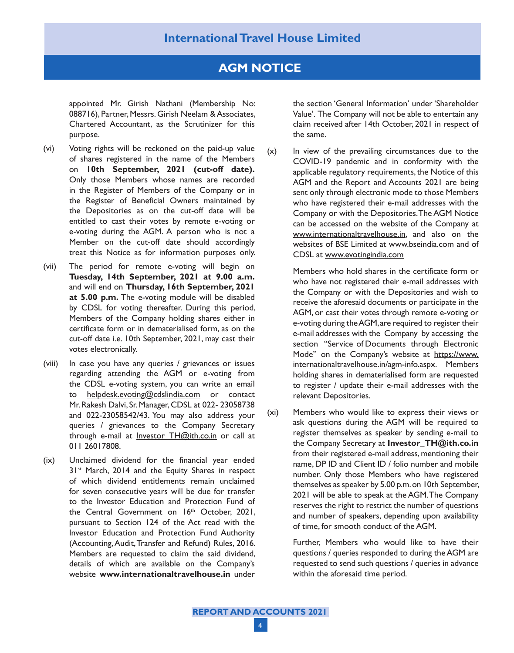# **AGM NOTICE**

appointed Mr. Girish Nathani (Membership No: 088716), Partner, Messrs. Girish Neelam & Associates, Chartered Accountant, as the Scrutinizer for this purpose.

- (vi) Voting rights will be reckoned on the paid-up value of shares registered in the name of the Members on **10th September, 2021 (cut-off date).** Only those Members whose names are recorded in the Register of Members of the Company or in the Register of Beneficial Owners maintained by the Depositories as on the cut-off date will be entitled to cast their votes by remote e-voting or e-voting during the AGM. A person who is not a Member on the cut-off date should accordingly treat this Notice as for information purposes only.
- (vii) The period for remote e-voting will begin on **Tuesday, 14th September, 2021 at 9.00 a.m.** and will end on **Thursday, 16th September, 2021 at 5.00 p.m.** The e-voting module will be disabled by CDSL for voting thereafter. During this period, Members of the Company holding shares either in certificate form or in dematerialised form, as on the cut-off date i.e. 10th September, 2021, may cast their votes electronically.
- (viii) In case you have any queries / grievances or issues regarding attending the AGM or e-voting from the CDSL e-voting system, you can write an email to helpdesk.evoting@cdslindia.com or contact Mr. Rakesh Dalvi, Sr. Manager, CDSL at 022- 23058738 and 022-23058542/43. You may also address your queries / grievances to the Company Secretary through e-mail at Investor TH@ith.co.in or call at 011 26017808.
- (ix) Unclaimed dividend for the financial year ended 31<sup>st</sup> March, 2014 and the Equity Shares in respect of which dividend entitlements remain unclaimed for seven consecutive years will be due for transfer to the Investor Education and Protection Fund of the Central Government on 16<sup>th</sup> October, 2021, pursuant to Section 124 of the Act read with the Investor Education and Protection Fund Authority (Accounting, Audit, Transfer and Refund) Rules, 2016. Members are requested to claim the said dividend, details of which are available on the Company's website **www.internationaltravelhouse.in** under

the section 'General Information' under 'Shareholder Value'. The Company will not be able to entertain any claim received after 14th October, 2021 in respect of the same.

(x) In view of the prevailing circumstances due to the COVID-19 pandemic and in conformity with the applicable regulatory requirements, the Notice of this AGM and the Report and Accounts 2021 are being sent only through electronic mode to those Members who have registered their e-mail addresses with the Company or with the Depositories. The AGM Notice can be accessed on the website of the Company at www.internationaltravelhouse.in, and also on the websites of BSE Limited at www.bseindia.com and of CDSL at www.evotingindia.com

> Members who hold shares in the certificate form or who have not registered their e-mail addresses with the Company or with the Depositories and wish to receive the aforesaid documents or participate in the AGM, or cast their votes through remote e-voting or e-voting during the AGM, are required to register their e-mail addresses with the Company by accessing the section "Service of Documents through Electronic Mode" on the Company's website at https://www. internationaltravelhouse.in/agm-info.aspx. Members holding shares in dematerialised form are requested to register / update their e-mail addresses with the relevant Depositories.

(xi) Members who would like to express their views or ask questions during the AGM will be required to register themselves as speaker by sending e-mail to the Company Secretary at **Investor\_TH@ith.co.in** from their registered e-mail address, mentioning their name, DP ID and Client ID / folio number and mobile number. Only those Members who have registered themselves as speaker by 5.00 p.m. on 10th September, 2021 will be able to speak at the AGM. The Company reserves the right to restrict the number of questions and number of speakers, depending upon availability of time, for smooth conduct of the AGM.

> Further, Members who would like to have their questions / queries responded to during the AGM are requested to send such questions / queries in advance within the aforesaid time period.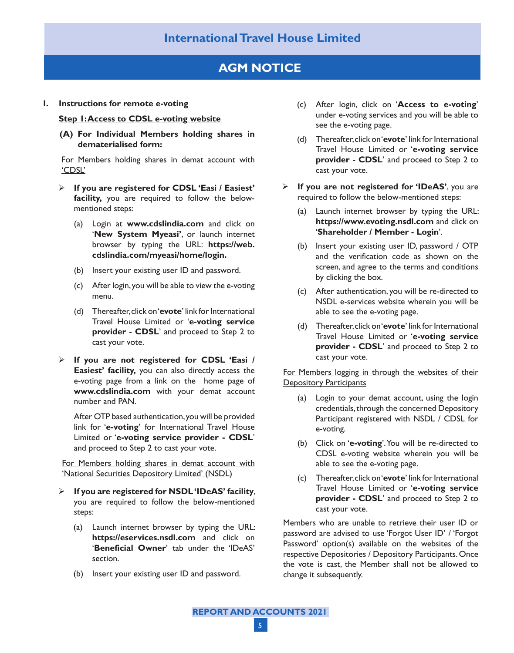# **International Travel House Limited**

# **AGM NOTICE**

**I. Instructions for remote e-voting**

## **Step 1: Access to CDSL e-voting website**

**(A) For Individual Members holding shares in dematerialised form:**

For Members holding shares in demat account with 'CDSL'

- **If you are registered for CDSL 'Easi / Easiest' facility,** you are required to follow the belowmentioned steps:
	- (a) Login at **www.cdslindia.com** and click on '**New System Myeasi'**, or launch internet browser by typing the URL: **https://web. cdslindia.com/myeasi/home/login.**
	- (b) Insert your existing user ID and password.
	- (c) After login, you will be able to view the e-voting menu.
	- (d) Thereafter, click on '**evote**' link for International Travel House Limited or '**e-voting service provider - CDSL**' and proceed to Step 2 to cast your vote.
- **If you are not registered for CDSL 'Easi / Easiest' facility,** you can also directly access the e-voting page from a link on the home page of **www.cdslindia.com** with your demat account number and PAN.

After OTP based authentication, you will be provided link for '**e-voting**' for International Travel House Limited or '**e-voting service provider - CDSL**' and proceed to Step 2 to cast your vote.

For Members holding shares in demat account with 'National Securities Depository Limited' (NSDL)

- **If you are registered for NSDL 'IDeAS' facility**, you are required to follow the below-mentioned steps:
	- (a) Launch internet browser by typing the URL: **https://eservices.nsdl.com** and click on '**Beneficial Owner**' tab under the 'IDeAS' section.
	- (b) Insert your existing user ID and password.
- (c) After login, click on '**Access to e-voting**' under e-voting services and you will be able to see the e-voting page.
- (d) Thereafter, click on '**evote**' link for International Travel House Limited or '**e-voting service provider - CDSL**' and proceed to Step 2 to cast your vote.
- **If you are not registered for 'IDeAS'**, you are required to follow the below-mentioned steps:
	- (a) Launch internet browser by typing the URL: **https://www.evoting.nsdl.com** and click on '**Shareholder / Member - Login**'.
	- (b) Insert your existing user ID, password / OTP and the verification code as shown on the screen, and agree to the terms and conditions by clicking the box.
	- (c) After authentication, you will be re-directed to NSDL e-services website wherein you will be able to see the e-voting page.
	- (d) Thereafter, click on '**evote**' link for International Travel House Limited or '**e-voting service provider - CDSL**' and proceed to Step 2 to cast your vote.

For Members logging in through the websites of their Depository Participants

- (a) Login to your demat account, using the login credentials, through the concerned Depository Participant registered with NSDL / CDSL for e-voting.
- (b) Click on '**e-voting**'. You will be re-directed to CDSL e-voting website wherein you will be able to see the e-voting page.
- (c) Thereafter, click on '**evote**' link for International Travel House Limited or '**e-voting service provider - CDSL**' and proceed to Step 2 to cast your vote.

Members who are unable to retrieve their user ID or password are advised to use 'Forgot User ID' / 'Forgot Password' option(s) available on the websites of the respective Depositories / Depository Participants. Once the vote is cast, the Member shall not be allowed to change it subsequently.

**REPORT AND ACCOUNTS 2021** 5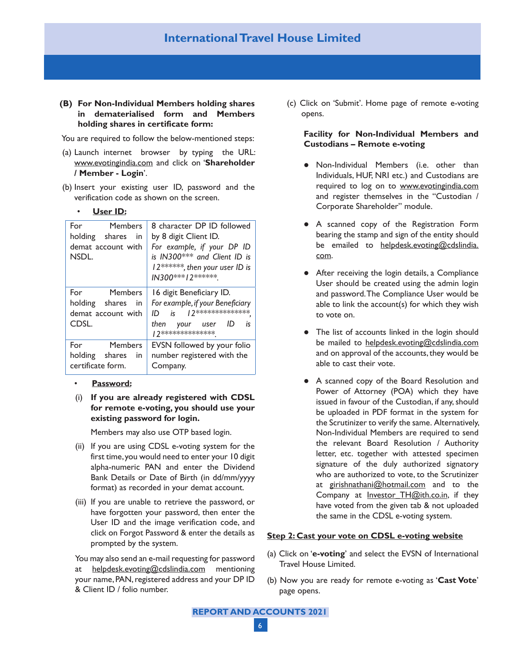**(B) For Non-Individual Members holding shares in dematerialised form and Members holding shares in certificate form:**

You are required to follow the below-mentioned steps:

- (a) Launch internet browser by typing the URL: www.evotingindia.com and click on '**Shareholder / Member - Login**'.
- (b) Insert your existing user ID, password and the verification code as shown on the screen.

#### **User ID:**

| For<br>Members<br>holding shares in<br>demat account with<br>NSDL. | 8 character DP ID followed<br>by 8 digit Client ID.<br>For example, if your DP ID<br>is IN300*** and Client ID is<br>12******, then your user ID is<br>IN300***12****** |
|--------------------------------------------------------------------|-------------------------------------------------------------------------------------------------------------------------------------------------------------------------|
| For Members<br>holding shares<br>in<br>demat account with<br>CDSL. | 16 digit Beneficiary ID.<br>For example, if your Beneficiary<br>$ID$ is $12******************$<br>then your user ID<br>is<br>  2**************                          |
| For Members<br>holding shares in<br>certificate form.              | EVSN followed by your folio<br>number registered with the<br>Company.                                                                                                   |

- **Password:**
- (i) **If you are already registered with CDSL for remote e-voting, you should use your existing password for login.**

Members may also use OTP based login.

- (ii) If you are using CDSL e-voting system for the first time, you would need to enter your 10 digit alpha-numeric PAN and enter the Dividend Bank Details or Date of Birth (in dd/mm/yyyy format) as recorded in your demat account.
- (iii) If you are unable to retrieve the password, or have forgotten your password, then enter the User ID and the image verification code, and click on Forgot Password & enter the details as prompted by the system.

You may also send an e-mail requesting for password at helpdesk.evoting@cdslindia.com mentioning your name, PAN, registered address and your DP ID & Client ID / folio number.

(c) Click on 'Submit'. Home page of remote e-voting opens.

## **Facility for Non-Individual Members and Custodians – Remote e-voting**

- Non-Individual Members (i.e. other than Individuals, HUF, NRI etc.) and Custodians are required to log on to www.evotingindia.com and register themselves in the "Custodian / Corporate Shareholder" module.
- A scanned copy of the Registration Form bearing the stamp and sign of the entity should be emailed to helpdesk.evoting@cdslindia. com.
- After receiving the login details, a Compliance User should be created using the admin login and password. The Compliance User would be able to link the account(s) for which they wish to vote on.
- The list of accounts linked in the login should be mailed to helpdesk.evoting@cdslindia.com and on approval of the accounts, they would be able to cast their vote.
- A scanned copy of the Board Resolution and Power of Attorney (POA) which they have issued in favour of the Custodian, if any, should be uploaded in PDF format in the system for the Scrutinizer to verify the same. Alternatively, Non-Individual Members are required to send the relevant Board Resolution / Authority letter, etc. together with attested specimen signature of the duly authorized signatory who are authorized to vote, to the Scrutinizer at girishnathani@hotmail.com and to the Company at <u>Investor TH@ith.co.in</u>, if they have voted from the given tab & not uploaded the same in the CDSL e-voting system.

## **Step 2: Cast your vote on CDSL e-voting website**

- (a) Click on '**e-voting**' and select the EVSN of International Travel House Limited.
- (b) Now you are ready for remote e-voting as '**Cast Vote**' page opens.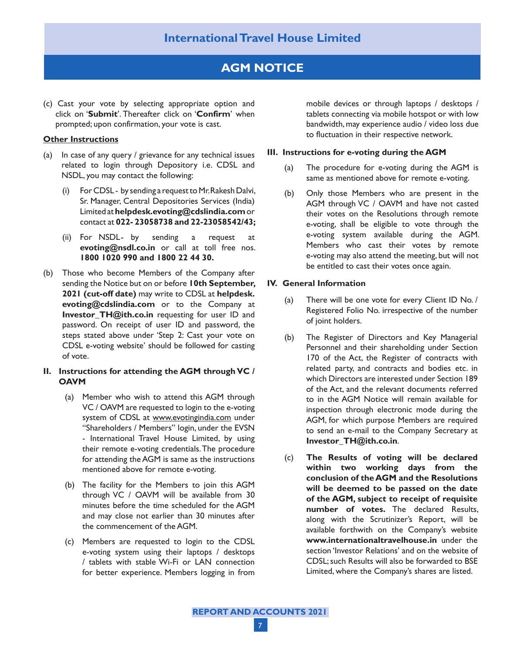# **AGM NOTICE**

(c) Cast your vote by selecting appropriate option and click on '**Submit**'. Thereafter click on '**Confirm**' when prompted; upon confirmation, your vote is cast.

#### **Other Instructions**

- (a) In case of any query / grievance for any technical issues related to login through Depository i.e. CDSL and NSDL, you may contact the following:
	- (i) For CDSL by sending a request to Mr. Rakesh Dalvi, Sr. Manager, Central Depositories Services (India) Limited at **helpdesk.evoting@cdslindia.com** or contact at **022- 23058738 and 22-23058542/43;**
	- (ii) For NSDL- by sending a request at **evoting@nsdl.co.in** or call at toll free nos. **1800 1020 990 and 1800 22 44 30.**
- (b) Those who become Members of the Company after sending the Notice but on or before **10th September, 2021 (cut-off date)** may write to CDSL at **helpdesk. evoting@cdslindia.com** or to the Company at **Investor\_TH@ith.co.in** requesting for user ID and password. On receipt of user ID and password, the steps stated above under 'Step 2: Cast your vote on CDSL e-voting website' should be followed for casting of vote.

## **II. Instructions for attending the AGM through VC / OAVM**

- (a) Member who wish to attend this AGM through VC / OAVM are requested to login to the e-voting system of CDSL at www.evotingindia.com under "Shareholders / Members" login, under the EVSN - International Travel House Limited, by using their remote e-voting credentials. The procedure for attending the AGM is same as the instructions mentioned above for remote e-voting.
- (b) The facility for the Members to join this AGM through VC / OAVM will be available from 30 minutes before the time scheduled for the AGM and may close not earlier than 30 minutes after the commencement of the AGM.
- (c) Members are requested to login to the CDSL e-voting system using their laptops / desktops / tablets with stable Wi-Fi or LAN connection for better experience. Members logging in from

mobile devices or through laptops / desktops / tablets connecting via mobile hotspot or with low bandwidth, may experience audio / video loss due to fluctuation in their respective network.

#### **III. Instructions for e-voting during the AGM**

- (a) The procedure for e-voting during the AGM is same as mentioned above for remote e-voting.
- (b) Only those Members who are present in the AGM through VC / OAVM and have not casted their votes on the Resolutions through remote e-voting, shall be eligible to vote through the e-voting system available during the AGM. Members who cast their votes by remote e-voting may also attend the meeting, but will not be entitled to cast their votes once again.

#### **IV. General Information**

- (a) There will be one vote for every Client ID No. / Registered Folio No. irrespective of the number of joint holders.
- (b) The Register of Directors and Key Managerial Personnel and their shareholding under Section 170 of the Act, the Register of contracts with related party, and contracts and bodies etc. in which Directors are interested under Section 189 of the Act, and the relevant documents referred to in the AGM Notice will remain available for inspection through electronic mode during the AGM, for which purpose Members are required to send an e-mail to the Company Secretary at **Investor\_TH@ith.co.in**.
- (c) **The Results of voting will be declared within two working days from the conclusion of the AGM and the Resolutions will be deemed to be passed on the date of the AGM, subject to receipt of requisite number of votes.** The declared Results, along with the Scrutinizer's Report, will be available forthwith on the Company's website **www.internationaltravelhouse.in** under the section 'Investor Relations' and on the website of CDSL; such Results will also be forwarded to BSE Limited, where the Company's shares are listed.